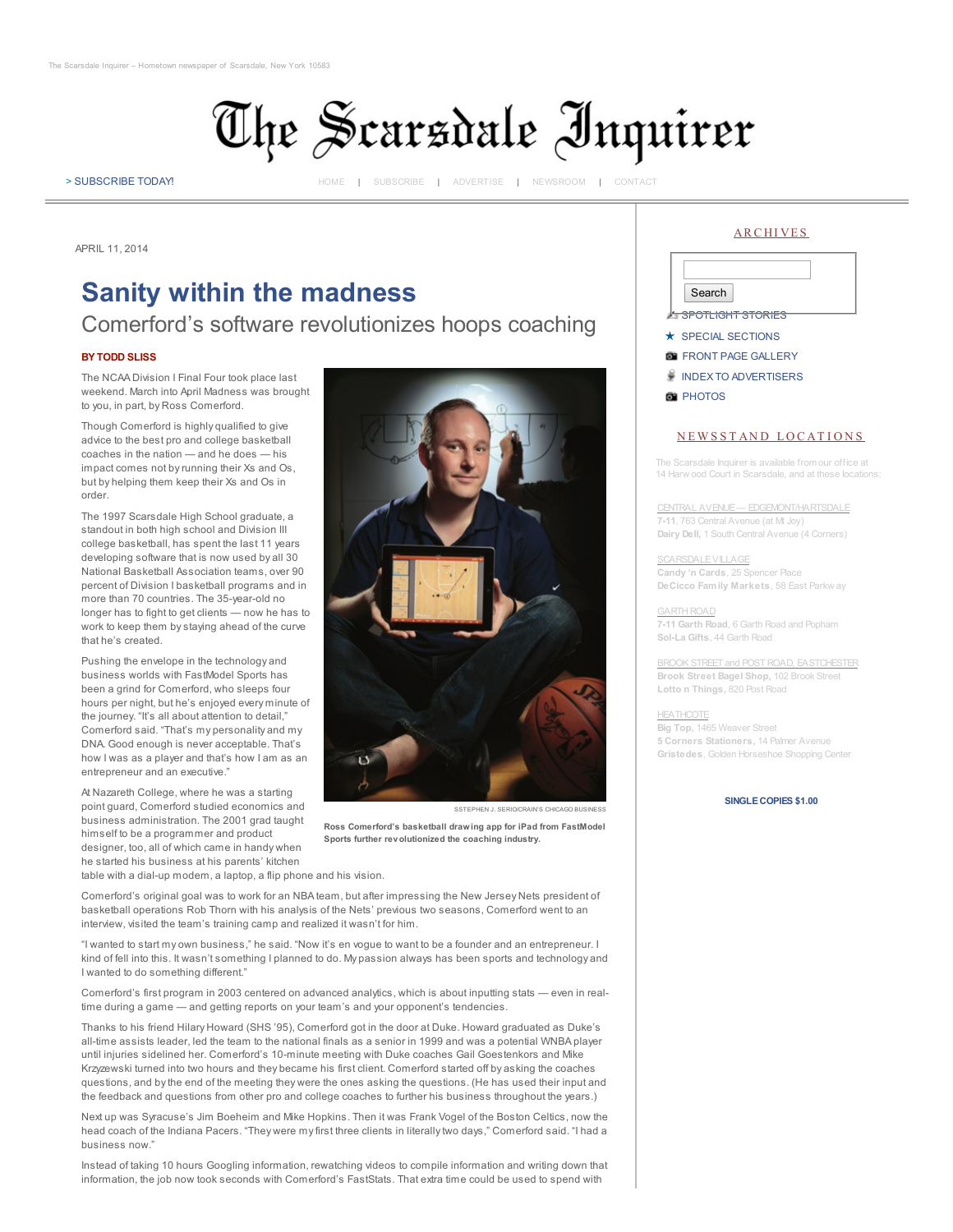

> [SUBSCRIBE](http://scarsdalenews.com/Scarsdale_Inquirer/subscribe.html) TODAY! [HOME](http://scarsdalenews.com/Scarsdale_Inquirer/Home.html) | [SUBSCRIBE](http://scarsdalenews.com/Scarsdale_Inquirer/subscribe.html) | [ADVERTISE](http://scarsdalenews.com/Scarsdale_Inquirer/advertise.html) | [NEWSROOM](http://scarsdalenews.com/Scarsdale_Inquirer/newsroom.html) | [CONTACT](http://scarsdalenews.com/Scarsdale_Inquirer/newsroom.html)

APRIL 11, 2014

# Sanity within the madness **Sanity Within the madness**

## Comerford's software revolutionizes hoops coaching

### BY TODD SLISS

The NCAA Division I Final Four took place last weekend. March into April Madness was brought to you, in part, by Ross Comerford.

Though Comerford is highly qualified to give advice to the best pro and college basketball coaches in the nation — and he does — his impact comes not by running their Xs and Os, but by helping them keep their Xs and Os in order.

The 1997 Scarsdale High School graduate, a standout in both high school and Division III college basketball, has spent the last 11 years developing software that is now used by all 30 National Basketball Association teams, over 90 percent of Division I basketball programs and in more than 70 countries. The 35-year-old no longer has to fight to get clients — now he has to work to keep them by staying ahead of the curve that he's created.

Pushing the envelope in the technology and business worlds with FastModel Sports has been a grind for Comerford, who sleeps four hours per night, but he's enjoyed every minute of the journey. "It's all about attention to detail." Comerford said. "That's my personality and my DNA. Good enough is never acceptable. That's how I was as a player and that's how I am as an entrepreneur and an executive."

At Nazareth College, where he was a starting point guard, Comerford studied economics and business administration. The 2001 grad taught himself to be a programmer and product designer, too, all of which came in handy when he started his business at his parents' kitchen



Ross Comerford's basketball drawing app for iPad from FastModel Sports further revolutionized the coaching industry.

table with a dial-up modem, a laptop, a flip phone and his vision.

Comerford's original goal was to work for an NBA team, but after impressing the New Jersey Nets president of basketball operations Rob Thorn with his analysis of the Nets' previous two seasons, Comerford went to an interview, visited the team's training camp and realized it wasn't for him.

"I wanted to start my own business," he said. "Now it's en vogue to want to be a founder and an entrepreneur. I kind of fell into this. It wasn't something I planned to do. My passion always has been sports and technology and I wanted to do something different."

Comerford's first program in 2003 centered on advanced analytics, which is about inputting stats — even in realtime during a game — and getting reports on your team's and your opponent's tendencies.

Thanks to his friend Hilary Howard (SHS '95), Comerford got in the door at Duke. Howard graduated as Duke's all-time assists leader, led the team to the national finals as a senior in 1999 and was a potential WNBA player until injuries sidelined her. Comerford's 10-minute meeting with Duke coaches Gail Goestenkors and Mike Krzyzewski turned into two hours and they became his first client. Comerford started off by asking the coaches questions, and by the end of the meeting they were the ones asking the questions. (He has used their input and the feedback and questions from other pro and college coaches to further his business throughout the years.)

Next up was Syracuse's Jim Boeheim and Mike Hopkins. Then it was Frank Vogel of the Boston Celtics, now the head coach of the Indiana Pacers. "They were my first three clients in literally two days," Comerford said. "I had a business now."

Instead of taking 10 hours Googling information, rewatching videos to compile information and writing down that information, the job now took seconds with Comerford's FastStats. That extra time could be used to spend with





#### NEWSSTAND LOCATIONS

The Scarsdale Inquirer is available from our office at 14 Harw ood Court in Scarsdale, and at these locations:

CENTRAL AVENUE— EDGEMONT/HARTSDALE 7-11, 763 Central Avenue (at Mt Joy) Dairy Dell, 1 South Central Avenue (4 Corners)

**SCARSDALEVILLAGE** Candy 'n Cards, 25 Spencer Place DeCicco Family Markets, 58 East Parkw ay

GARTH ROAD 7-11 Garth Road, 6 Garth Road and Popham Sol-La Gifts, 44 Garth Road

BROOK STREET and POST ROAD, EASTCHESTER Brook Street Bagel Shop, 102 Brook Street Lotto n Things, 820 Post Road

**HEATHCOTE** Big Top, 1465 Weaver Street 5 Corners Stationers, 14 Palmer Avenue Gristedes, Golden Horseshoe Shopping Center

SINGLECOPIES \$1.00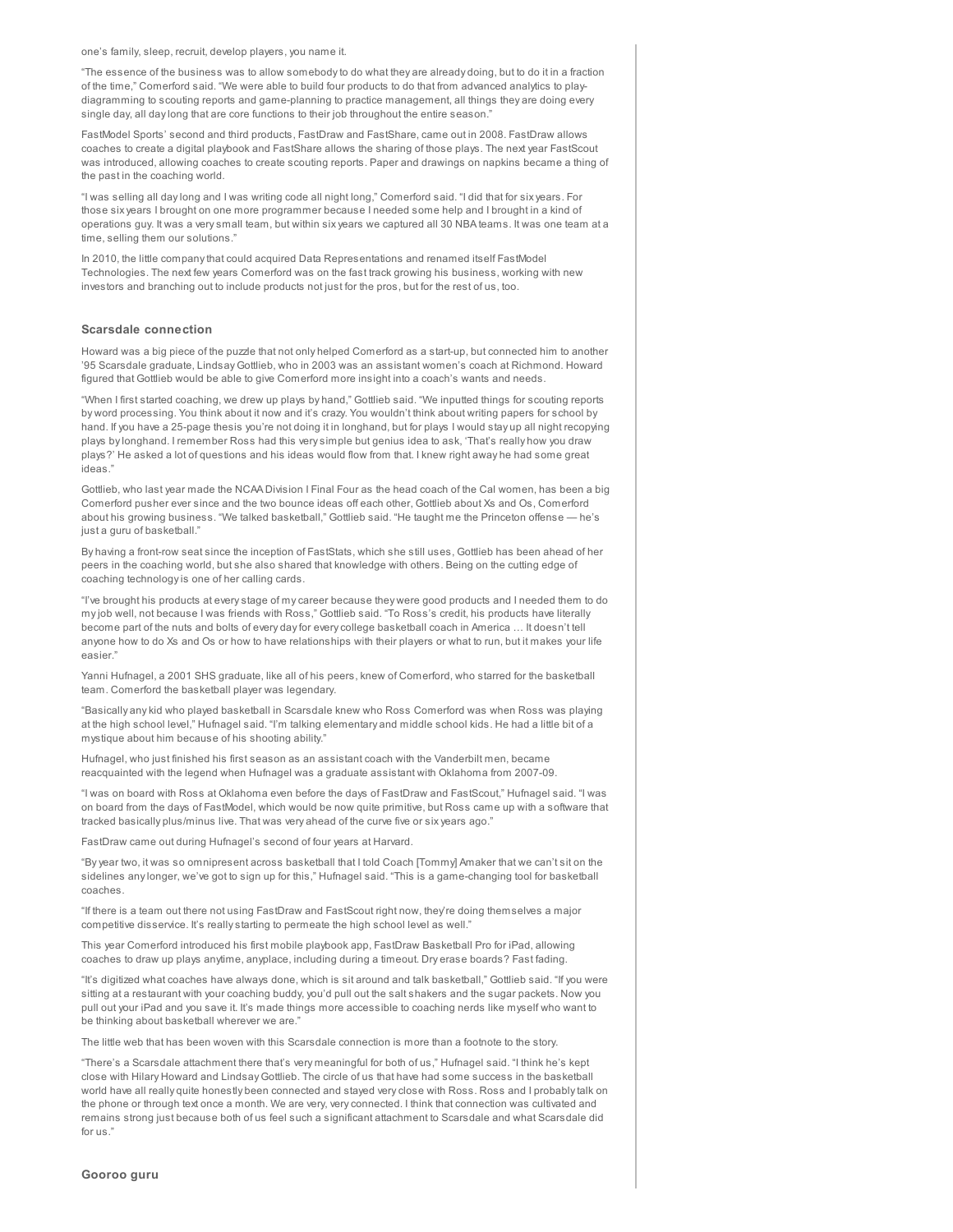one's family, sleep, recruit, develop players, you name it.

"The essence of the business was to allow somebody to do what they are already doing, but to do it in a fraction of the time," Comerford said. "We were able to build four products to do that from advanced analytics to playdiagramming to scouting reports and game-planning to practice management, all things they are doing every single day, all day long that are core functions to their job throughout the entire season."

FastModel Sports' second and third products, FastDraw and FastShare, came out in 2008. FastDraw allows coaches to create a digital playbook and FastShare allows the sharing of those plays. The next year FastScout was introduced, allowing coaches to create scouting reports. Paper and drawings on napkins became a thing of the past in the coaching world.

"I was selling all day long and I was writing code all night long," Comerford said. "I did that for six years. For those six years I brought on one more programmer because I needed some help and I brought in a kind of operations guy. It was a very small team, but within six years we captured all 30 NBA teams. It was one team at a time, selling them our solutions."

In 2010, the little company that could acquired Data Representations and renamed itself FastModel Technologies. The next few years Comerford was on the fast track growing his business, working with new investors and branching out to include products not just for the pros, but for the rest of us, too.

#### Scarsdale connection

Howard was a big piece of the puzzle that not only helped Comerford as a start-up, but connected him to another '95 Scarsdale graduate, Lindsay Gottlieb, who in 2003 was an assistant women's coach at Richmond. Howard figured that Gottlieb would be able to give Comerford more insight into a coach's wants and needs.

"When I first started coaching, we drew up plays by hand," Gottlieb said. "We inputted things for scouting reports by word processing. You think about it now and it's crazy. You wouldn't think about writing papers for school by hand. If you have a 25-page thesis you're not doing it in longhand, but for plays I would stay up all night recopying plays by longhand. I remember Ross had this very simple but genius idea to ask, 'That's really how you draw plays?' He asked a lot of questions and his ideas would flow from that. I knew right away he had some great ideas."

Gottlieb, who last year made the NCAA Division I Final Four as the head coach of the Cal women, has been a big Comerford pusher ever since and the two bounce ideas off each other, Gottlieb about Xs and Os, Comerford about his growing business. "We talked basketball," Gottlieb said. "He taught me the Princeton offense — he's just a guru of basketball."

By having a front-row seat since the inception of FastStats, which she still uses, Gottlieb has been ahead of her peers in the coaching world, but she also shared that knowledge with others. Being on the cutting edge of coaching technology is one of her calling cards.

"I've brought his products at every stage of my career because they were good products and I needed them to do my job well, not because I was friends with Ross," Gottlieb said. "To Ross's credit, his products have literally become part of the nuts and bolts of every day for every college basketball coach in America … It doesn't tell anyone how to do Xs and Os or how to have relationships with their players or what to run, but it makes your life easier."

Yanni Hufnagel, a 2001 SHS graduate, like all of his peers, knew of Comerford, who starred for the basketball team. Comerford the basketball player was legendary.

"Basically any kid who played basketball in Scarsdale knew who Ross Comerford was when Ross was playing at the high school level," Hufnagel said. "I'm talking elementary and middle school kids. He had a little bit of a mystique about him because of his shooting ability."

Hufnagel, who just finished his first season as an assistant coach with the Vanderbilt men, became reacquainted with the legend when Hufnagel was a graduate assistant with Oklahoma from 2007-09.

"I was on board with Ross at Oklahoma even before the days of FastDraw and FastScout," Hufnagel said. "I was on board from the days of FastModel, which would be now quite primitive, but Ross came up with a software that tracked basically plus/minus live. That was very ahead of the curve five or six years ago."

FastDraw came out during Hufnagel's second of four years at Harvard.

"By year two, it was so omnipresent across basketball that I told Coach [Tommy] Amaker that we can't sit on the sidelines any longer, we've got to sign up for this," Hufnagel said. "This is a game-changing tool for basketball coaches.

"If there is a team out there not using FastDraw and FastScout right now, they're doing themselves a major competitive disservice. It's really starting to permeate the high school level as well.

This year Comerford introduced his first mobile playbook app, FastDraw Basketball Pro for iPad, allowing coaches to draw up plays anytime, anyplace, including during a timeout. Dry erase boards? Fast fading.

"It's digitized what coaches have always done, which is sit around and talk basketball," Gottlieb said. "If you were sitting at a restaurant with your coaching buddy, you'd pull out the salt shakers and the sugar packets. Now you pull out your iPad and you save it. It's made things more accessible to coaching nerds like myself who want to be thinking about basketball wherever we are."

The little web that has been woven with this Scarsdale connection is more than a footnote to the story.

"There's a Scarsdale attachment there that's very meaningful for both of us," Hufnagel said. "I think he's kept close with Hilary Howard and Lindsay Gottlieb. The circle of us that have had some success in the basketball world have all really quite honestly been connected and stayed very close with Ross. Ross and I probably talk on the phone or through text once a month. We are very, very connected. I think that connection was cultivated and remains strong just because both of us feel such a significant attachment to Scarsdale and what Scarsdale did for us."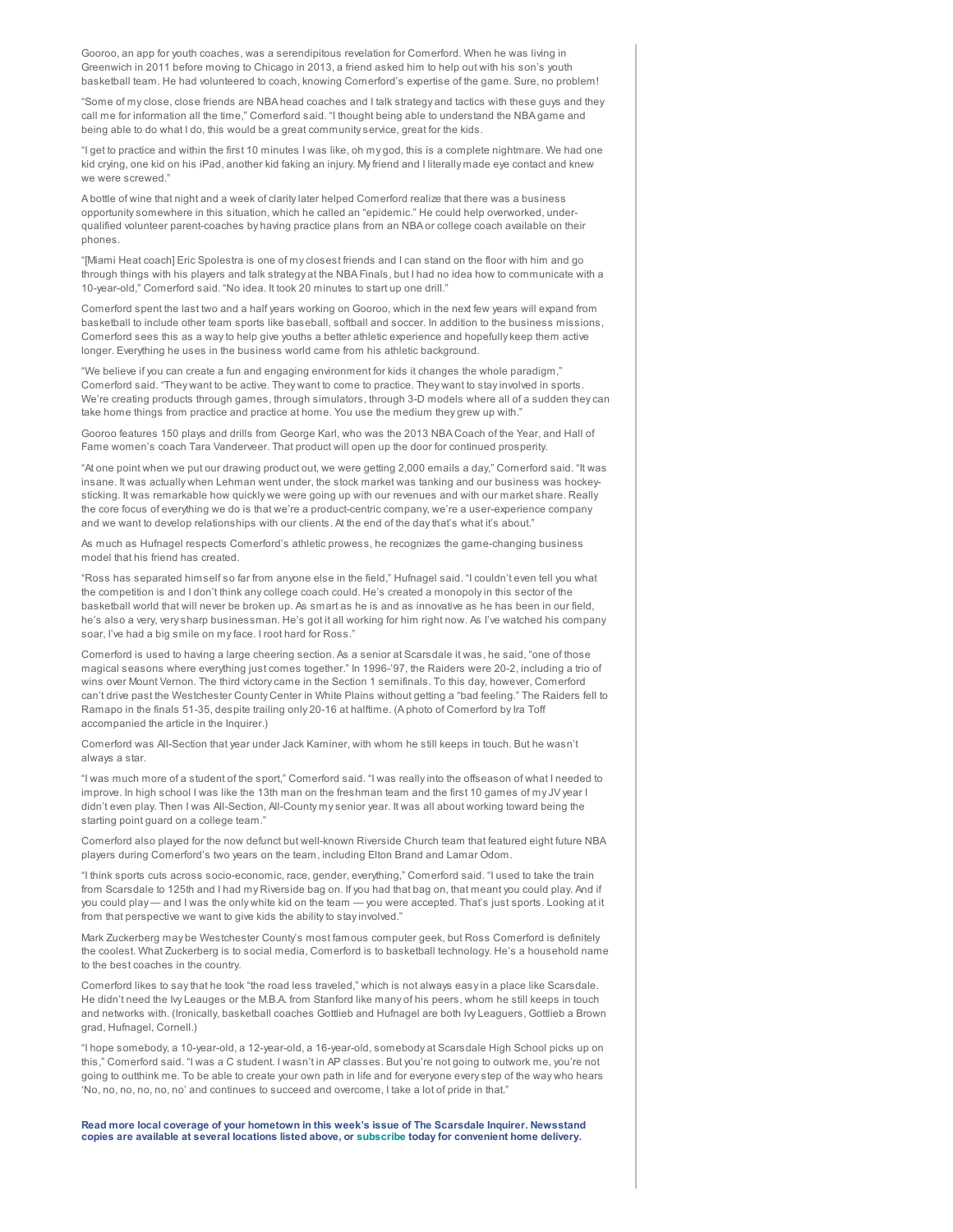Gooroo, an app for youth coaches, was a serendipitous revelation for Comerford. When he was living in Greenwich in 2011 before moving to Chicago in 2013, a friend asked him to help out with his son's youth basketball team. He had volunteered to coach, knowing Comerford's expertise of the game. Sure, no problem!

"Some of my close, close friends are NBA head coaches and I talk strategy and tactics with these guys and they call me for information all the time," Comerford said. "I thought being able to understand the NBA game and being able to do what I do, this would be a great community service, great for the kids.

"I get to practice and within the first 10 minutes I was like, oh my god, this is a complete nightmare. We had one kid crying, one kid on his iPad, another kid faking an injury. My friend and I literally made eye contact and knew we were screwed."

A bottle of wine that night and a week of clarity later helped Comerford realize that there was a business opportunity somewhere in this situation, which he called an "epidemic." He could help overworked, underqualified volunteer parent-coaches by having practice plans from an NBA or college coach available on their phones.

"[Miami Heat coach] Eric Spolestra is one of my closest friends and I can stand on the floor with him and go through things with his players and talk strategy at the NBA Finals, but I had no idea how to communicate with a 10-year-old," Comerford said. "No idea. It took 20 minutes to start up one drill."

Comerford spent the last two and a half years working on Gooroo, which in the next few years will expand from basketball to include other team sports like baseball, softball and soccer. In addition to the business missions, Comerford sees this as a way to help give youths a better athletic experience and hopefully keep them active longer. Everything he uses in the business world came from his athletic background.

"We believe if you can create a fun and engaging environment for kids it changes the whole paradigm," Comerford said. "They want to be active. They want to come to practice. They want to stay involved in sports. We're creating products through games, through simulators, through 3-D models where all of a sudden they can take home things from practice and practice at home. You use the medium they grew up with."

Gooroo features 150 plays and drills from George Karl, who was the 2013 NBA Coach of the Year, and Hall of Fame women's coach Tara Vanderveer. That product will open up the door for continued prosperity.

"At one point when we put our drawing product out, we were getting 2,000 emails a day," Comerford said. "It was insane. It was actually when Lehman went under, the stock market was tanking and our business was hockeysticking. It was remarkable how quickly we were going up with our revenues and with our market share. Really the core focus of everything we do is that we're a product-centric company, we're a user-experience company and we want to develop relationships with our clients. At the end of the day that's what it's about."

As much as Hufnagel respects Comerford's athletic prowess, he recognizes the game-changing business model that his friend has created.

"Ross has separated himself so far from anyone else in the field," Hufnagel said. "I couldn't even tell you what the competition is and I don't think any college coach could. He's created a monopoly in this sector of the basketball world that will never be broken up. As smart as he is and as innovative as he has been in our field, he's also a very, very sharp businessman. He's got it all working for him right now. As I've watched his company soar, I've had a big smile on my face. I root hard for Ross."

Comerford is used to having a large cheering section. As a senior at Scarsdale it was, he said, "one of those magical seasons where everything just comes together." In 1996-'97, the Raiders were 20-2, including a trio of wins over Mount Vernon. The third victory came in the Section 1 semifinals. To this day, however, Comerford can't drive past the Westchester County Center in White Plains without getting a "bad feeling." The Raiders fell to Ramapo in the finals 51-35, despite trailing only 20-16 at halftime. (A photo of Comerford by Ira Toff accompanied the article in the Inquirer.)

Comerford was All-Section that year under Jack Kaminer, with whom he still keeps in touch. But he wasn't always a star.

"I was much more of a student of the sport," Comerford said. "I was really into the offseason of what I needed to improve. In high school I was like the 13th man on the freshman team and the first 10 games of my JV year I didn't even play. Then I was All-Section, All-County my senior year. It was all about working toward being the starting point guard on a college team."

Comerford also played for the now defunct but well-known Riverside Church team that featured eight future NBA players during Comerford's two years on the team, including Elton Brand and Lamar Odom.

"I think sports cuts across socio-economic, race, gender, everything," Comerford said. "I used to take the train from Scarsdale to 125th and I had my Riverside bag on. If you had that bag on, that meant you could play. And if you could play— and I was the only white kid on the team — you were accepted. That's just sports. Looking at it from that perspective we want to give kids the ability to stay involved."

Mark Zuckerberg may be Westchester County's most famous computer geek, but Ross Comerford is definitely the coolest. What Zuckerberg is to social media, Comerford is to basketball technology. He's a household name to the best coaches in the country.

Comerford likes to say that he took "the road less traveled," which is not always easy in a place like Scarsdale. He didn't need the Ivy Leauges or the M.B.A. from Stanford like many of his peers, whom he still keeps in touch and networks with. (Ironically, basketball coaches Gottlieb and Hufnagel are both Ivy Leaguers, Gottlieb a Brown grad, Hufnagel, Cornell.)

"I hope somebody, a 10-year-old, a 12-year-old, a 16-year-old, somebody at Scarsdale High School picks up on this," Comerford said. "I was a C student. I wasn't in AP classes. But you're not going to outwork me, you're not going to outthink me. To be able to create your own path in life and for everyone every step of the way who hears 'No, no, no, no, no, no' and continues to succeed and overcome, I take a lot of pride in that."

Read more local coverage of your hometown in this week's issue of The Scarsdale Inquirer. Newsstand copies are available at several locations listed above, or [subscribe](http://www.rivertownsenterprise.net/subscribe) today for convenient home delivery.